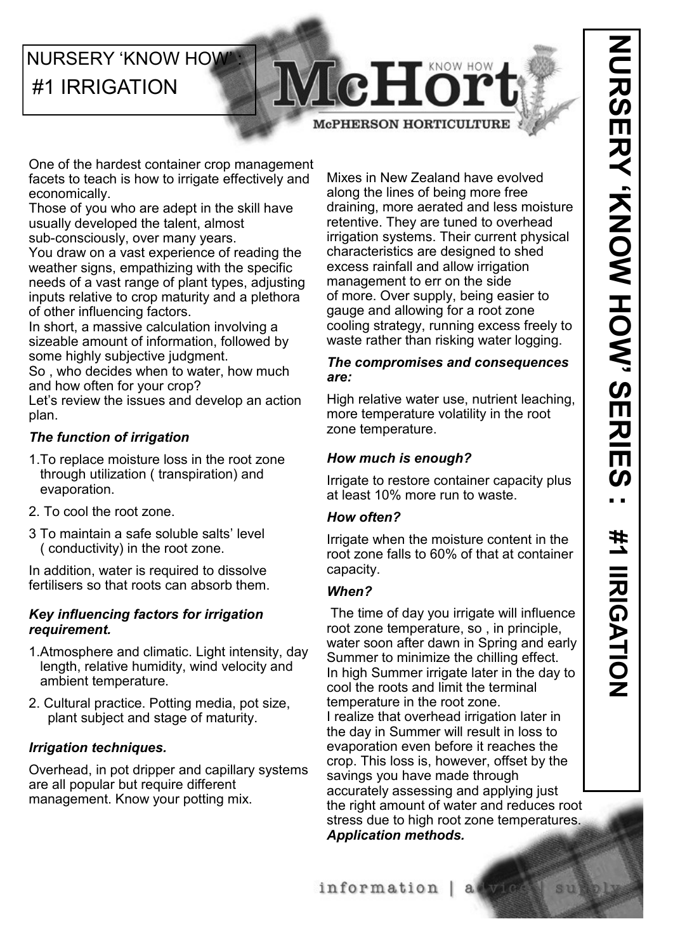# **NURSERY 'KNOW HOW'** #1 IRRIGATION

NURSERS<br>NURSER<br><br/>> **NURSER** 

**McPHERSON HORTICULTURE** 

McHor

One of the hardest container crop management facets to teach is how to irrigate effectively and economically.

Those of you who are adept in the skill have usually developed the talent, almost

sub-consciously, over many years.

You draw on a vast experience of reading the weather signs, empathizing with the specific needs of a vast range of plant types, adjusting inputs relative to crop maturity and a plethora of other influencing factors.

In short, a massive calculation involving a sizeable amount of information, followed by some highly subjective judgment.

So , who decides when to water, how much and how often for your crop?

Let's review the issues and develop an action plan.

# *The function of irrigation*

- 1.To replace moisture loss in the root zone through utilization ( transpiration) and evaporation.
- 2. To cool the root zone.
- 3 To maintain a safe soluble salts' level ( conductivity) in the root zone.

In addition, water is required to dissolve fertilisers so that roots can absorb them.

#### *Key influencing factors for irrigation requirement.*

- 1.Atmosphere and climatic. Light intensity, day length, relative humidity, wind velocity and ambient temperature.
- 2. Cultural practice. Potting media, pot size, plant subject and stage of maturity.

## *Irrigation techniques.*

Overhead, in pot dripper and capillary systems are all popular but require different management. Know your potting mix.

Mixes in New Zealand have evolved along the lines of being more free draining, more aerated and less moisture retentive. They are tuned to overhead irrigation systems. Their current physical characteristics are designed to shed excess rainfall and allow irrigation management to err on the side of more. Over supply, being easier to gauge and allowing for a root zone cooling strategy, running excess freely to waste rather than risking water logging.

#### *The compromises and consequences are:*

High relative water use, nutrient leaching, more temperature volatility in the root zone temperature.

## *How much is enough?*

Irrigate to restore container capacity plus at least 10% more run to waste.

#### *How often?*

Irrigate when the moisture content in the root zone falls to 60% of that at container capacity.

## *When?*

The time of day you irrigate will influence root zone temperature, so , in principle, water soon after dawn in Spring and early Summer to minimize the chilling effect. In high Summer irrigate later in the day to cool the roots and limit the terminal temperature in the root zone. I realize that overhead irrigation later in the day in Summer will result in loss to evaporation even before it reaches the crop. This loss is, however, offset by the savings you have made through accurately assessing and applying just the right amount of water and reduces root stress due to high root zone temperatures. *Application methods.*